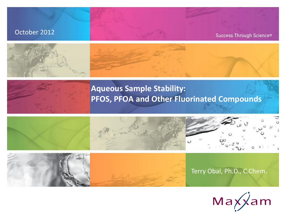#### October 2012

Success Through Science®





#### **Aqueous Sample Stability: PFOS, PFOA and Other Fluorinated Compounds**







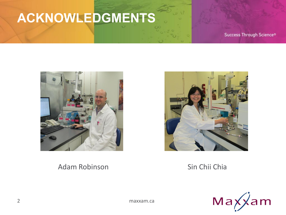# ACKNOWLEDGMENTS

Success Through Science®



#### **Adam Robinson**

Sin Chii Chia

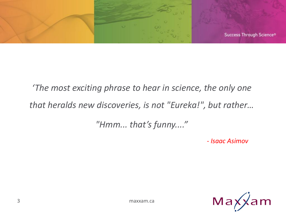

# *'The most exciting phrase to hear in science, the only one that heralds new discoveries, is not "Eureka!", but rather…*

*"Hmm... that's funny...."*

*- Isaac Asimov*



3 maxxam.ca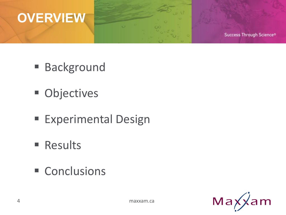

Success Through Science®

- **Background**
- **Objectives**
- **Experimental Design**

o

- **Results**
- Conclusions

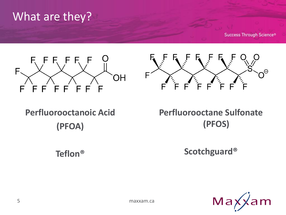#### What are they?

**Success Through Science®** 





**Perfluorooctanoic Acid (PFOA)**

**Teflon®**

**Perfluorooctane Sulfonate (PFOS)**

**Scotchguard®**

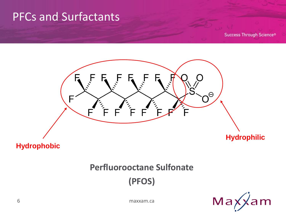#### **PFCs and Surfactants**

**Success Through Science®** 



**Hydrophobic** 

#### **Perfluorooctane Sulfonate**

(PFOS)



maxxam.ca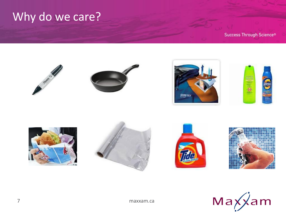#### Why do we care?



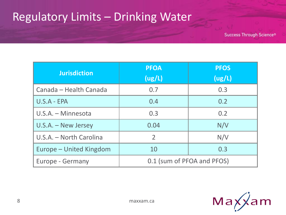#### Regulatory Limits – Drinking Water

| <b>Jurisdiction</b>     | <b>PFOA</b><br>(ug/L)      | <b>PFOS</b><br>(ug/L) |
|-------------------------|----------------------------|-----------------------|
| Canada - Health Canada  | 0.7                        | 0.3                   |
| $U.S.A - EPA$           | 0.4                        | 0.2                   |
| U.S.A. - Minnesota      | 0.3                        | 0.2                   |
| U.S.A. - New Jersey     | 0.04                       | N/V                   |
| U.S.A. - North Carolina | $\overline{2}$             | N/V                   |
| Europe - United Kingdom | 10                         | 0.3                   |
| Europe - Germany        | 0.1 (sum of PFOA and PFOS) |                       |

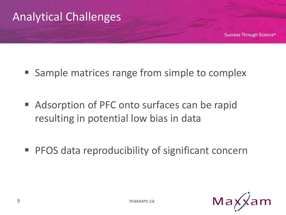

- Sample matrices range from simple to complex
- Adsorption of PFC onto surfaces can be rapid resulting in potential low bias in data
- PFOS data reproducibility of significant concern

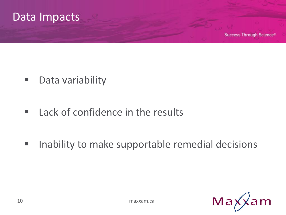

- Data variability
- Lack of confidence in the results
- **If all inability to make supportable remedial decisions**

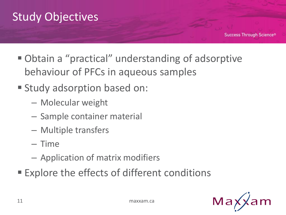

- Obtain a "practical" understanding of adsorptive behaviour of PFCs in aqueous samples
- Study adsorption based on:
	- Molecular weight
	- Sample container material
	- Multiple transfers
	- Time
	- Application of matrix modifiers
- Explore the effects of different conditions

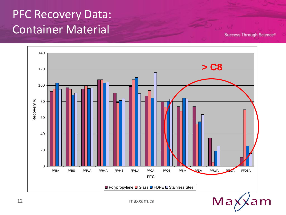#### PFC Recovery Data: Container Material

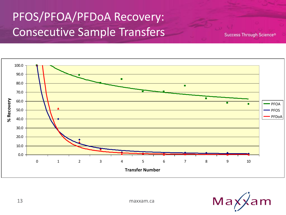#### PFOS/PFOA/PFDoA Recovery: Consecutive Sample Transfers



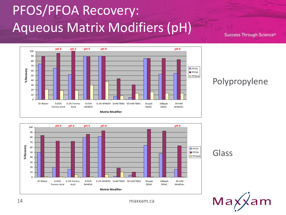# PFOS/PFOA Recovery: Aqueous Matrix Modifiers (pH)

**Success Through Science®** 



#### Polypropylene







14 maxxam.ca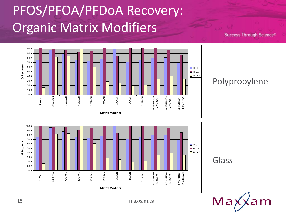# PFOS/PFOA/PFDoA Recovery: Organic Matrix Modifiers

**Success Through Science®** 



#### 0.0 10.0 20.0 30.0 40.0 50.0 60.0 70.0 80.0 90.0 100.0 DI Water<br>100% ACN 20% ACN 40% ACN 5% ACN 30% ACN 10% ACN 10% ACN 10% ACN 0.1% ACN in 5% ACN in 5% ACN  $\frac{1}{10}$  15% ACN in 1% ACN in 1% ACN in 0.1% NH4OH in 0.1% ACN in 0.1% ACN in 0.1% ACN in 0.1% ACN in 0.1% ACN in 0.1% **Matrix Modifier**<br>  $\frac{1}{20.0}$ <br>  $\frac{1}{20.0}$ <br>  $\frac{1}{20.0}$ <br>  $\frac{1}{20.0}$ <br>  $\frac{1}{20.0}$ <br>  $\frac{1}{20.0}$ <br>  $\frac{1}{20.0}$ <br>  $\frac{1}{20.0}$ <br>  $\frac{1}{20.0}$ <br>  $\frac{1}{20.0}$ <br>  $\frac{1}{20.0}$ <br>  $\frac{1}{20.0}$ <br>  $\frac{1}{20.0}$ <br>  $\frac{1}{20.0}$ <br>  $\frac{1}{$ **D** PFOS **PFOA D** PFDoA

#### Polypropylene

#### Glass

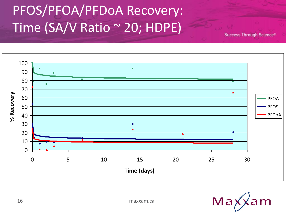# PFOS/PFOA/PFDoA Recovery: Time (SA/V Ratio ~ 20; HDPE)



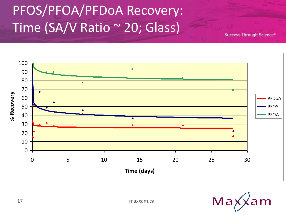# PFOS/PFOA/PFDoA Recovery: Time (SA/V Ratio ~ 20; Glass)



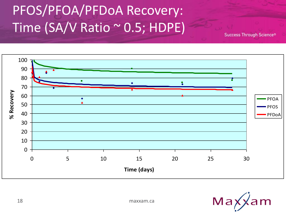# PFOS/PFOA/PFDoA Recovery: Time (SA/V Ratio ~ 0.5; HDPE)



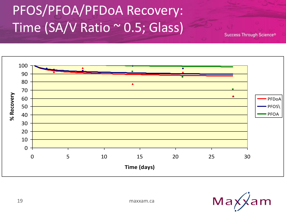# PFOS/PFOA/PFDoA Recovery: Time (SA/V Ratio ~ 0.5; Glass)



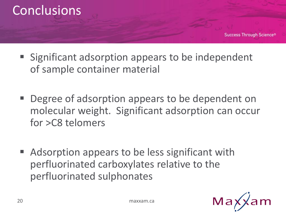

- Significant adsorption appears to be independent of sample container material
- Degree of adsorption appears to be dependent on molecular weight. Significant adsorption can occur for >C8 telomers
- Adsorption appears to be less significant with perfluorinated carboxylates relative to the perfluorinated sulphonates



**Success Through Science®** 

20 maxxam.ca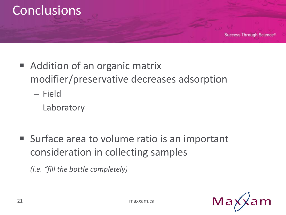#### **Conclusions**

- Addition of an organic matrix modifier/preservative decreases adsorption
	- Field
	- Laboratory
- **Surface area to volume ratio is an important** consideration in collecting samples

*(i.e. "fill the bottle completely)*

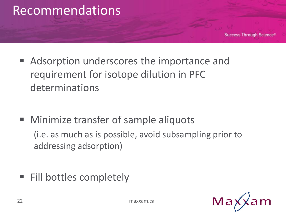

■ Adsorption underscores the importance and requirement for isotope dilution in PFC determinations

- **Minimize transfer of sample aliquots** (i.e. as much as is possible, avoid subsampling prior to addressing adsorption)
- Fill bottles completely

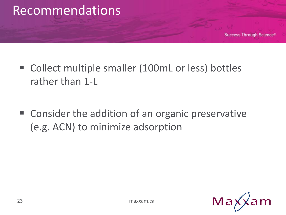

- Collect multiple smaller (100mL or less) bottles rather than 1-L
- Consider the addition of an organic preservative (e.g. ACN) to minimize adsorption